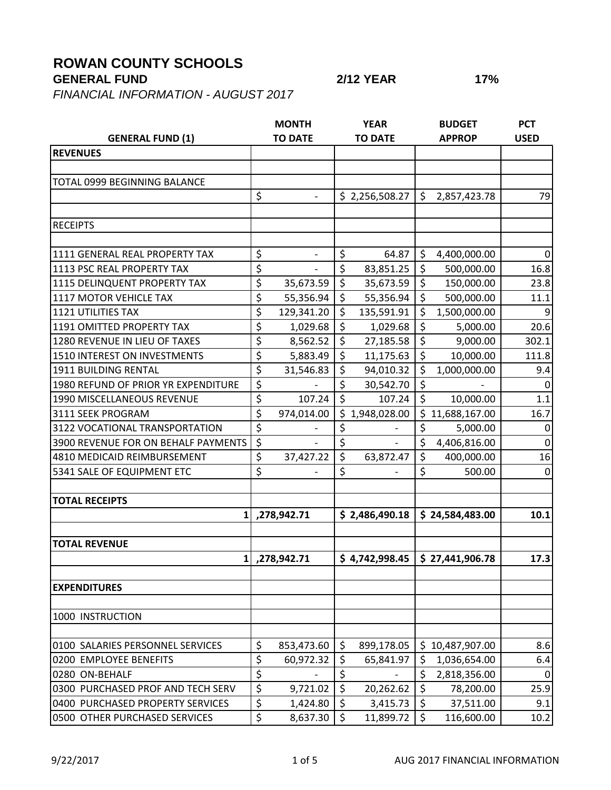## **ROWAN COUNTY SCHOOLS**

## **GENERAL FUND 2/12 YEAR 17%**

*FINANCIAL INFORMATION - AUGUST 2017*

|                                     |                  | <b>MONTH</b>             |                | <b>YEAR</b>    |               | <b>BUDGET</b>   | <b>PCT</b>  |
|-------------------------------------|------------------|--------------------------|----------------|----------------|---------------|-----------------|-------------|
| <b>GENERAL FUND (1)</b>             | <b>TO DATE</b>   |                          | <b>TO DATE</b> |                | <b>APPROP</b> |                 | <b>USED</b> |
| <b>REVENUES</b>                     |                  |                          |                |                |               |                 |             |
|                                     |                  |                          |                |                |               |                 |             |
| TOTAL 0999 BEGINNING BALANCE        |                  |                          |                |                |               |                 |             |
|                                     | \$               |                          |                | \$2,256,508.27 | \$            | 2,857,423.78    | 79          |
|                                     |                  |                          |                |                |               |                 |             |
| <b>RECEIPTS</b>                     |                  |                          |                |                |               |                 |             |
|                                     |                  |                          |                |                |               |                 |             |
| 1111 GENERAL REAL PROPERTY TAX      | \$               | $\overline{\phantom{a}}$ | \$             | 64.87          | $\zeta$       | 4,400,000.00    | $\Omega$    |
| 1113 PSC REAL PROPERTY TAX          | \$               |                          | \$             | 83,851.25      | \$            | 500,000.00      | 16.8        |
| 1115 DELINQUENT PROPERTY TAX        | \$               | 35,673.59                | \$             | 35,673.59      | \$            | 150,000.00      | 23.8        |
| 1117 MOTOR VEHICLE TAX              | \$               | 55,356.94                | \$             | 55,356.94      | \$            | 500,000.00      | 11.1        |
| <b>1121 UTILITIES TAX</b>           | \$               | 129,341.20               | \$             | 135,591.91     | \$            | 1,500,000.00    | 9           |
| 1191 OMITTED PROPERTY TAX           | \$               | 1,029.68                 | \$             | 1,029.68       | \$            | 5,000.00        | 20.6        |
| 1280 REVENUE IN LIEU OF TAXES       | \$               | 8,562.52                 | \$             | 27,185.58      | \$            | 9,000.00        | 302.1       |
| 1510 INTEREST ON INVESTMENTS        | \$               | 5,883.49                 | \$             | 11,175.63      | $\zeta$       | 10,000.00       | 111.8       |
| 1911 BUILDING RENTAL                | \$               | 31,546.83                | \$             | 94,010.32      | \$            | 1,000,000.00    | 9.4         |
| 1980 REFUND OF PRIOR YR EXPENDITURE | \$               |                          | \$             | 30,542.70      | \$            |                 | 0           |
| 1990 MISCELLANEOUS REVENUE          | \$               | 107.24                   | \$             | 107.24         | \$            | 10,000.00       | 1.1         |
| 3111 SEEK PROGRAM                   | \$               | 974,014.00               | \$             | 1,948,028.00   | \$            | 11,688,167.00   | 16.7        |
| 3122 VOCATIONAL TRANSPORTATION      | \$               |                          | \$             |                | \$            | 5,000.00        | 0           |
| 3900 REVENUE FOR ON BEHALF PAYMENTS | \$               |                          | \$             |                | \$            | 4,406,816.00    | $\mathbf 0$ |
| 4810 MEDICAID REIMBURSEMENT         | \$               | 37,427.22                | \$             | 63,872.47      | \$            | 400,000.00      | 16          |
| 5341 SALE OF EQUIPMENT ETC          | \$               |                          | \$             |                | \$            | 500.00          | $\Omega$    |
|                                     |                  |                          |                |                |               |                 |             |
| <b>TOTAL RECEIPTS</b>               |                  |                          |                |                |               |                 |             |
| $1\vert$                            |                  | ,278,942.71              |                | \$2,486,490.18 |               | \$24,584,483.00 | 10.1        |
|                                     |                  |                          |                |                |               |                 |             |
| <b>TOTAL REVENUE</b>                |                  |                          |                |                |               |                 |             |
|                                     |                  | 1, 278, 942.71           |                | \$4,742,998.45 |               | \$27,441,906.78 | 17.3        |
|                                     |                  |                          |                |                |               |                 |             |
| <b>EXPENDITURES</b>                 |                  |                          |                |                |               |                 |             |
|                                     |                  |                          |                |                |               |                 |             |
| 1000 INSTRUCTION                    |                  |                          |                |                |               |                 |             |
|                                     |                  |                          |                |                |               |                 |             |
| 0100 SALARIES PERSONNEL SERVICES    | \$               | 853,473.60               | \$             | 899,178.05     |               | \$10,487,907.00 | 8.6         |
| 0200 EMPLOYEE BENEFITS              | \$               | 60,972.32                | \$             | 65,841.97      | \$            | 1,036,654.00    | 6.4         |
| 0280 ON-BEHALF                      | \$               |                          | \$             |                | \$            | 2,818,356.00    | $\mathbf 0$ |
| 0300 PURCHASED PROF AND TECH SERV   | $\overline{\xi}$ | 9,721.02                 | $\zeta$        | 20,262.62      | $\zeta$       | 78,200.00       | 25.9        |
| 0400 PURCHASED PROPERTY SERVICES    | \$               | 1,424.80                 | \$             | 3,415.73       | $\zeta$       | 37,511.00       | 9.1         |
| 0500 OTHER PURCHASED SERVICES       | $\overline{\xi}$ | 8,637.30                 | \$             | 11,899.72      | \$            | 116,600.00      | 10.2        |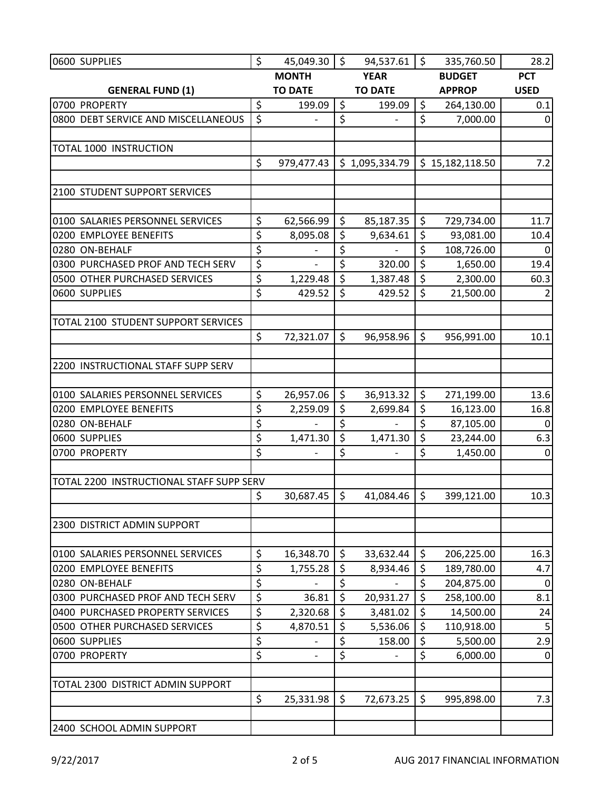| 0600 SUPPLIES                            | \$               | 45,049.30                | \$      | 94,537.61      | \$<br>335,760.50 | 28.2             |
|------------------------------------------|------------------|--------------------------|---------|----------------|------------------|------------------|
|                                          |                  | <b>MONTH</b>             |         | <b>YEAR</b>    | <b>BUDGET</b>    | <b>PCT</b>       |
| <b>GENERAL FUND (1)</b>                  |                  | <b>TO DATE</b>           |         | <b>TO DATE</b> | <b>APPROP</b>    | <b>USED</b>      |
| 0700 PROPERTY                            | \$               | 199.09                   | \$      | 199.09         | \$<br>264,130.00 | 0.1              |
| 0800 DEBT SERVICE AND MISCELLANEOUS      | $\overline{\xi}$ |                          | \$      |                | \$<br>7,000.00   | $\Omega$         |
|                                          |                  |                          |         |                |                  |                  |
| <b>TOTAL 1000 INSTRUCTION</b>            |                  |                          |         |                |                  |                  |
|                                          | \$               | 979,477.43               |         | \$1,095,334.79 | \$15,182,118.50  | 7.2              |
|                                          |                  |                          |         |                |                  |                  |
| 2100 STUDENT SUPPORT SERVICES            |                  |                          |         |                |                  |                  |
|                                          |                  |                          |         |                |                  |                  |
| 0100 SALARIES PERSONNEL SERVICES         | \$               | 62,566.99                | \$      | 85,187.35      | \$<br>729,734.00 | 11.7             |
| 0200 EMPLOYEE BENEFITS                   | \$               | 8,095.08                 | \$      | 9,634.61       | \$<br>93,081.00  | 10.4             |
| 0280 ON-BEHALF                           | \$               |                          | \$      |                | \$<br>108,726.00 | $\mathbf{0}$     |
| 0300 PURCHASED PROF AND TECH SERV        | \$               |                          | \$      | 320.00         | \$<br>1,650.00   | 19.4             |
| 0500 OTHER PURCHASED SERVICES            | \$               | 1,229.48                 | \$      | 1,387.48       | \$<br>2,300.00   | 60.3             |
| 0600 SUPPLIES                            | \$               | 429.52                   | \$      | 429.52         | \$<br>21,500.00  |                  |
|                                          |                  |                          |         |                |                  |                  |
| TOTAL 2100 STUDENT SUPPORT SERVICES      |                  |                          |         |                |                  |                  |
|                                          | \$               | 72,321.07                | \$      | 96,958.96      | \$<br>956,991.00 | 10.1             |
|                                          |                  |                          |         |                |                  |                  |
| 2200 INSTRUCTIONAL STAFF SUPP SERV       |                  |                          |         |                |                  |                  |
|                                          |                  |                          |         |                |                  |                  |
| 0100 SALARIES PERSONNEL SERVICES         | \$               | 26,957.06                | \$      | 36,913.32      | \$<br>271,199.00 | 13.6             |
| 0200 EMPLOYEE BENEFITS                   | \$               | 2,259.09                 | \$      | 2,699.84       | \$<br>16,123.00  | 16.8             |
| 0280 ON-BEHALF                           | \$               |                          | \$      |                | \$<br>87,105.00  | $\Omega$         |
| 0600 SUPPLIES                            | \$               | 1,471.30                 | \$      | 1,471.30       | \$<br>23,244.00  | 6.3              |
| 0700 PROPERTY                            | \$               |                          | \$      |                | \$<br>1,450.00   | $\mathbf 0$      |
|                                          |                  |                          |         |                |                  |                  |
| TOTAL 2200 INSTRUCTIONAL STAFF SUPP SERV |                  |                          | $\zeta$ |                | \$               |                  |
|                                          | \$               | 30,687.45                |         | 41,084.46      | 399,121.00       | 10.3             |
| 2300 DISTRICT ADMIN SUPPORT              |                  |                          |         |                |                  |                  |
|                                          |                  |                          |         |                |                  |                  |
| 0100 SALARIES PERSONNEL SERVICES         | \$               | 16,348.70                | \$      | 33,632.44      | \$<br>206,225.00 | 16.3             |
| 0200 EMPLOYEE BENEFITS                   | \$               | 1,755.28                 | \$      | 8,934.46       | \$<br>189,780.00 | 4.7              |
| 0280 ON-BEHALF                           | \$               |                          | \$      |                | \$<br>204,875.00 | $\boldsymbol{0}$ |
| 0300 PURCHASED PROF AND TECH SERV        | \$               | 36.81                    | \$      | 20,931.27      | \$<br>258,100.00 | 8.1              |
| 0400 PURCHASED PROPERTY SERVICES         | \$               | 2,320.68                 | \$      | 3,481.02       | \$<br>14,500.00  | 24               |
| 0500 OTHER PURCHASED SERVICES            | \$               | 4,870.51                 | \$      | 5,536.06       | \$<br>110,918.00 | 5                |
| 0600 SUPPLIES                            | \$               |                          | \$      | 158.00         | \$<br>5,500.00   | 2.9              |
| 0700 PROPERTY                            | \$               | $\overline{\phantom{0}}$ | \$      |                | \$<br>6,000.00   | $\mathbf 0$      |
|                                          |                  |                          |         |                |                  |                  |
| TOTAL 2300 DISTRICT ADMIN SUPPORT        |                  |                          |         |                |                  |                  |
|                                          | \$               | 25,331.98                | \$      | 72,673.25      | \$<br>995,898.00 | 7.3              |
|                                          |                  |                          |         |                |                  |                  |
| 2400 SCHOOL ADMIN SUPPORT                |                  |                          |         |                |                  |                  |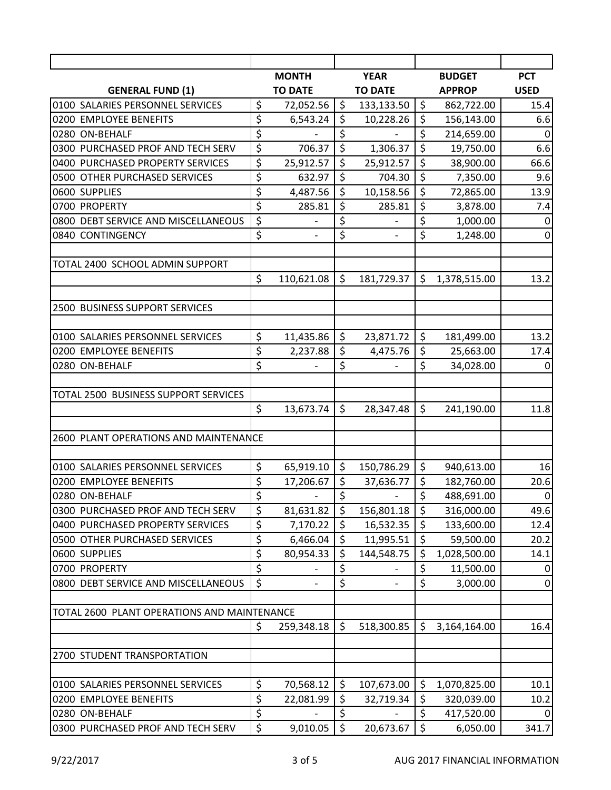|                                                            |          | <b>MONTH</b>             |                  | <b>YEAR</b>              |          | <b>BUDGET</b> | <b>PCT</b>       |
|------------------------------------------------------------|----------|--------------------------|------------------|--------------------------|----------|---------------|------------------|
| <b>GENERAL FUND (1)</b>                                    |          | <b>TO DATE</b>           |                  | <b>TO DATE</b>           |          | <b>APPROP</b> | <b>USED</b>      |
| 0100 SALARIES PERSONNEL SERVICES                           | \$       | 72,052.56                | $\zeta$          | 133,133.50               | \$       | 862,722.00    | 15.4             |
| 0200 EMPLOYEE BENEFITS                                     | \$       | 6,543.24                 | $\overline{\xi}$ | 10,228.26                | \$       | 156,143.00    | 6.6              |
| 0280 ON-BEHALF                                             | \$       |                          | \$               |                          | \$       | 214,659.00    | 0                |
| 0300 PURCHASED PROF AND TECH SERV                          | \$       | 706.37                   | \$               | 1,306.37                 | \$       | 19,750.00     | 6.6              |
| 0400 PURCHASED PROPERTY SERVICES                           | \$       | 25,912.57                | \$               | 25,912.57                | \$       | 38,900.00     | 66.6             |
| 0500 OTHER PURCHASED SERVICES                              | \$       | 632.97                   | \$               | 704.30                   | \$       | 7,350.00      | 9.6              |
| 0600 SUPPLIES                                              | \$       | 4,487.56                 | \$               | 10,158.56                | \$       | 72,865.00     | 13.9             |
| 0700 PROPERTY                                              | \$       | 285.81                   | \$               | 285.81                   | \$       | 3,878.00      | 7.4              |
| 0800 DEBT SERVICE AND MISCELLANEOUS                        | \$       |                          | \$               |                          | \$       | 1,000.00      | 0                |
| 0840 CONTINGENCY                                           | \$       | $\overline{\phantom{a}}$ | \$               | $\overline{\phantom{0}}$ | \$       | 1,248.00      | $\mathbf{0}$     |
| TOTAL 2400 SCHOOL ADMIN SUPPORT                            |          |                          |                  |                          |          |               |                  |
|                                                            | \$       | 110,621.08               | \$               | 181,729.37               | \$       | 1,378,515.00  | 13.2             |
|                                                            |          |                          |                  |                          |          |               |                  |
| 2500 BUSINESS SUPPORT SERVICES                             |          |                          |                  |                          |          |               |                  |
| 0100 SALARIES PERSONNEL SERVICES                           | \$       | 11,435.86                | \$               | 23,871.72                | \$       | 181,499.00    | 13.2             |
| 0200 EMPLOYEE BENEFITS                                     | \$       | 2,237.88                 | \$               | 4,475.76                 | \$       | 25,663.00     | 17.4             |
| 0280 ON-BEHALF                                             | \$       |                          | \$               |                          | \$       | 34,028.00     | 0                |
|                                                            |          |                          |                  |                          |          |               |                  |
| TOTAL 2500 BUSINESS SUPPORT SERVICES                       |          |                          |                  |                          |          |               |                  |
|                                                            | \$       | 13,673.74                | \$               | 28,347.48                | \$       | 241,190.00    | 11.8             |
|                                                            |          |                          |                  |                          |          |               |                  |
| 2600 PLANT OPERATIONS AND MAINTENANCE                      |          |                          |                  |                          |          |               |                  |
|                                                            |          |                          |                  |                          |          |               |                  |
| 0100 SALARIES PERSONNEL SERVICES                           | \$       | 65,919.10                | \$               | 150,786.29               | \$       | 940,613.00    | 16               |
| 0200 EMPLOYEE BENEFITS                                     | \$       | 17,206.67                | \$               | 37,636.77                | \$       | 182,760.00    | 20.6             |
| 0280 ON-BEHALF                                             | \$       |                          | \$               |                          | \$       | 488,691.00    | $\boldsymbol{0}$ |
| 0300 PURCHASED PROF AND TECH SERV                          | \$       | 81,631.82                | \$               | 156,801.18               | \$       | 316,000.00    | 49.6             |
| 0400 PURCHASED PROPERTY SERVICES                           | \$       | 7,170.22                 | \$               | 16,532.35                | \$       | 133,600.00    | 12.4             |
| 0500 OTHER PURCHASED SERVICES                              | \$       | 6,466.04                 | \$               | 11,995.51                | \$       | 59,500.00     | 20.2             |
| 0600 SUPPLIES                                              | \$       | 80,954.33                | \$               | 144,548.75               | \$       | 1,028,500.00  | 14.1             |
| 0700 PROPERTY                                              | \$       |                          | \$               |                          | \$       | 11,500.00     | 0                |
| 0800 DEBT SERVICE AND MISCELLANEOUS                        | \$       |                          | \$               | $\overline{a}$           | \$       | 3,000.00      | 0                |
| TOTAL 2600 PLANT OPERATIONS AND MAINTENANCE                |          |                          |                  |                          |          |               |                  |
|                                                            | \$       | 259,348.18               | \$               | 518,300.85               | \$       | 3,164,164.00  | 16.4             |
|                                                            |          |                          |                  |                          |          |               |                  |
| 2700 STUDENT TRANSPORTATION                                |          |                          |                  |                          |          |               |                  |
|                                                            |          |                          |                  |                          |          |               |                  |
| 0100 SALARIES PERSONNEL SERVICES<br>0200 EMPLOYEE BENEFITS | \$<br>\$ | 70,568.12                | \$<br>\$         | 107,673.00               | \$<br>\$ | 1,070,825.00  | 10.1             |
|                                                            |          | 22,081.99                |                  | 32,719.34                | \$       | 320,039.00    | 10.2             |
| 0280 ON-BEHALF                                             | \$       |                          | \$               |                          |          | 417,520.00    | 0                |
| 0300 PURCHASED PROF AND TECH SERV                          | \$       | 9,010.05                 | $\zeta$          | 20,673.67                | \$       | 6,050.00      | 341.7            |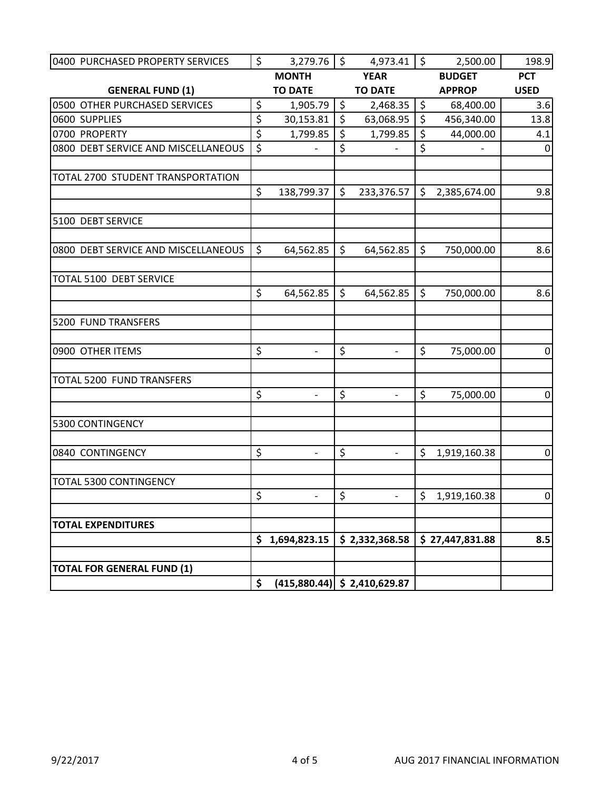| 0400 PURCHASED PROPERTY SERVICES    | \$<br>3,279.76                 | $\zeta$ | 4,973.41                       | \$<br>2,500.00     | 198.9          |
|-------------------------------------|--------------------------------|---------|--------------------------------|--------------------|----------------|
|                                     | <b>MONTH</b>                   |         | <b>YEAR</b>                    | <b>BUDGET</b>      | <b>PCT</b>     |
| <b>GENERAL FUND (1)</b>             | <b>TO DATE</b>                 |         | <b>TO DATE</b>                 | <b>APPROP</b>      | <b>USED</b>    |
| 0500 OTHER PURCHASED SERVICES       | \$<br>1,905.79                 | \$      | 2,468.35                       | \$<br>68,400.00    | 3.6            |
| 0600 SUPPLIES                       | \$<br>30,153.81                | $\zeta$ | 63,068.95                      | \$<br>456,340.00   | 13.8           |
| 0700 PROPERTY                       | \$<br>1,799.85                 | \$      | 1,799.85                       | \$<br>44,000.00    | 4.1            |
| 0800 DEBT SERVICE AND MISCELLANEOUS | \$                             | \$      |                                | \$                 | $\overline{0}$ |
| TOTAL 2700 STUDENT TRANSPORTATION   |                                |         |                                |                    |                |
|                                     | \$<br>138,799.37               | $\zeta$ | 233,376.57                     | \$<br>2,385,674.00 | 9.8            |
| 5100 DEBT SERVICE                   |                                |         |                                |                    |                |
| 0800 DEBT SERVICE AND MISCELLANEOUS | \$<br>64,562.85                | $\zeta$ | 64,562.85                      | \$<br>750,000.00   | 8.6            |
| <b>TOTAL 5100 DEBT SERVICE</b>      | \$<br>64,562.85                | \$      | 64,562.85                      | \$<br>750,000.00   | 8.6            |
| 5200 FUND TRANSFERS                 |                                |         |                                |                    |                |
|                                     |                                |         |                                |                    |                |
| 0900 OTHER ITEMS                    | \$<br>$\overline{\phantom{0}}$ | \$      | $\overline{\phantom{0}}$       | \$<br>75,000.00    | $\overline{0}$ |
| TOTAL 5200 FUND TRANSFERS           |                                |         |                                |                    |                |
|                                     | \$                             | \$      |                                | \$<br>75,000.00    | $\overline{0}$ |
| 5300 CONTINGENCY                    |                                |         |                                |                    |                |
| 0840 CONTINGENCY                    | \$<br>$\overline{\phantom{0}}$ | \$      | $\overline{\phantom{a}}$       | \$<br>1,919,160.38 | $\mathbf 0$    |
| TOTAL 5300 CONTINGENCY              |                                |         |                                |                    |                |
|                                     | \$<br>$\overline{\phantom{0}}$ | \$      | $\overline{\phantom{0}}$       | \$<br>1,919,160.38 | $\overline{0}$ |
| <b>TOTAL EXPENDITURES</b>           |                                |         |                                |                    |                |
|                                     | \$<br>1,694,823.15             |         | \$2,332,368.58                 | \$27,447,831.88    | 8.5            |
| <b>TOTAL FOR GENERAL FUND (1)</b>   |                                |         |                                |                    |                |
|                                     | \$                             |         | $(415,880.44)$ \$ 2,410,629.87 |                    |                |